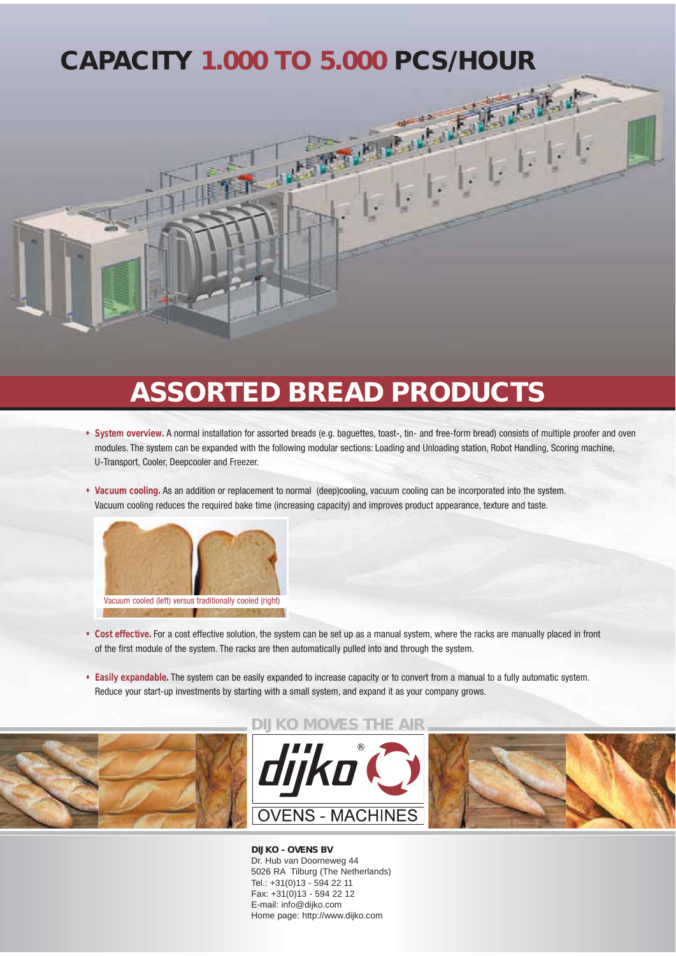## **CAPACITY 1.000 TO 5.000 PCS/HOUR**

## **ASSORTED BREAD PRODUCTS**

- **System overview.** A normal installation for assorted breads (e.g. baguettes, toast-, tin- and free-form bread) consists of multiple proofer and oven modules. The system can be expanded with the following modular sections: Loading and Unloading station, Robot Handling, Scoring machine, U-Transport, Cooler, Deepcooler and Freezer.
- **Vacuum cooling.** As an addition or replacement to normal (deep)cooling, vacuum cooling can be incorporated into the system. Vacuum cooling reduces the required bake time (increasing capacity) and improves product appearance, texture and taste.



- **Cost effective.** For a cost effective solution, the system can be set up as a manual system, where the racks are manually placed in front of the first module of the system. The racks are then automatically pulled into and through the system.
- **Easily expandable.** The system can be easily expanded to increase capacity or to convert from a manual to a fully automatic system. Reduce your start-up investments by starting with a small system, and expand it as your company grows.



**DIJKO - OVENS BV** Dr. Hub van Doorneweg 44 5026 RA Tilburg (The Netherlands) Tel.: +31(0)13 - 594 22 11 Fax: +31(0)13 - 594 22 12 E-mail: info@dijko.com Home page: http://www.dijko.com